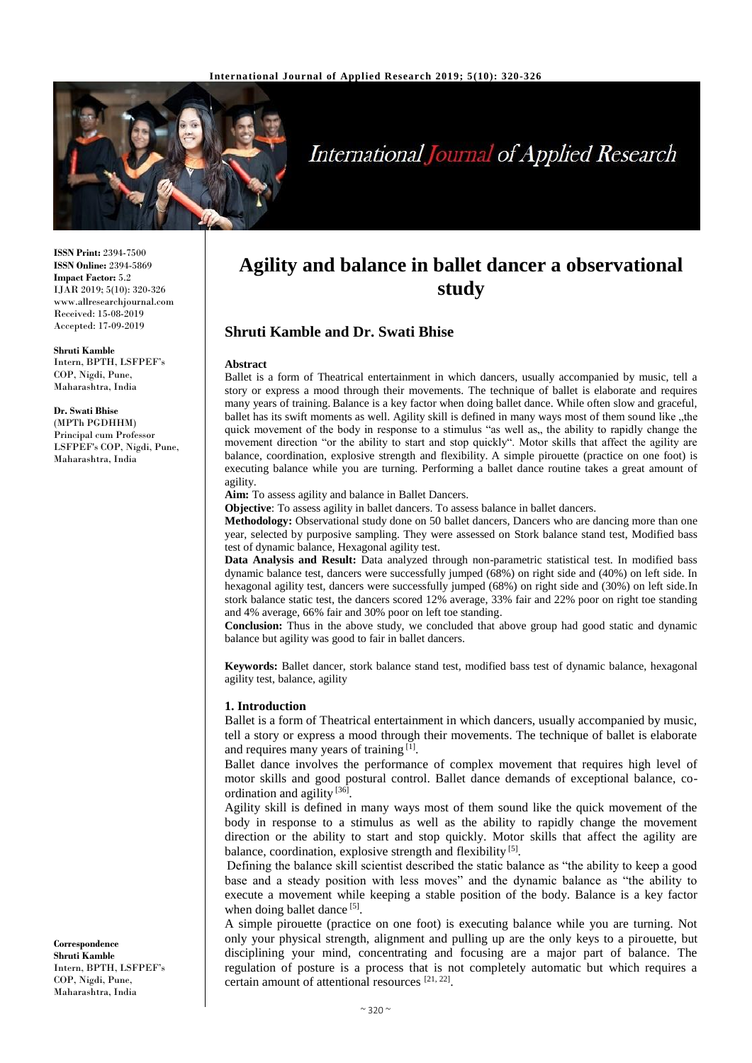

# **International Journal of Applied Research**

**ISSN Print:** 2394-7500 **ISSN Online:** 2394-5869 **Impact Factor:** 5.2 IJAR 2019; 5(10): 320-326 www.allresearchjournal.com Received: 15-08-2019 Accepted: 17-09-2019

**Shruti Kamble** Intern, BPTH, LSFPEF's COP, Nigdi, Pune,

Maharashtra, India

**Dr. Swati Bhise** (MPTh PGDHHM) Principal cum Professor LSFPEF's COP, Nigdi, Pune, Maharashtra, India

**Correspondence Shruti Kamble** Intern, BPTH, LSFPEF's COP, Nigdi, Pune, Maharashtra, India

# **Agility and balance in ballet dancer a observational study**

# **Shruti Kamble and Dr. Swati Bhise**

#### **Abstract**

Ballet is a form of Theatrical entertainment in which dancers, usually accompanied by music, tell a story or express a mood through their movements. The technique of ballet is elaborate and requires many years of training. Balance is a key factor when doing ballet dance. While often slow and graceful, ballet has its swift moments as well. Agility skill is defined in many ways most of them sound like "the quick movement of the body in response to a stimulus "as well as,, the ability to rapidly change the movement direction "or the ability to start and stop quickly". Motor skills that affect the agility are balance, coordination, explosive strength and flexibility. A simple pirouette (practice on one foot) is executing balance while you are turning. Performing a ballet dance routine takes a great amount of agility.

Aim: To assess agility and balance in Ballet Dancers.

**Objective**: To assess agility in ballet dancers. To assess balance in ballet dancers.

**Methodology:** Observational study done on 50 ballet dancers, Dancers who are dancing more than one year, selected by purposive sampling. They were assessed on Stork balance stand test, Modified bass test of dynamic balance, Hexagonal agility test.

**Data Analysis and Result:** Data analyzed through non-parametric statistical test. In modified bass dynamic balance test, dancers were successfully jumped (68%) on right side and (40%) on left side. In hexagonal agility test, dancers were successfully jumped (68%) on right side and (30%) on left side.In stork balance static test, the dancers scored 12% average, 33% fair and 22% poor on right toe standing and 4% average, 66% fair and 30% poor on left toe standing.

**Conclusion:** Thus in the above study, we concluded that above group had good static and dynamic balance but agility was good to fair in ballet dancers.

**Keywords:** Ballet dancer, stork balance stand test, modified bass test of dynamic balance, hexagonal agility test, balance, agility

#### **1. Introduction**

Ballet is a form of Theatrical entertainment in which dancers, usually accompanied by music, tell a story or express a mood through their movements. The technique of ballet is elaborate and requires many years of training [1].

Ballet dance involves the performance of complex movement that requires high level of motor skills and good postural control. Ballet dance demands of exceptional balance, coordination and agility<sup>[36]</sup>.

Agility skill is defined in many ways most of them sound like the quick movement of the body in response to a stimulus as well as the ability to rapidly change the movement direction or the ability to start and stop quickly. Motor skills that affect the agility are balance, coordination, explosive strength and flexibility<sup>[5]</sup>.

Defining the balance skill scientist described the static balance as "the ability to keep a good base and a steady position with less moves" and the dynamic balance as "the ability to execute a movement while keeping a stable position of the body. Balance is a key factor when doing ballet dance [5].

A simple pirouette (practice on one foot) is executing balance while you are turning. Not only your physical strength, alignment and pulling up are the only keys to a pirouette, but disciplining your mind, concentrating and focusing are a major part of balance. The regulation of posture is a process that is not completely automatic but which requires a certain amount of attentional resources [21, 22].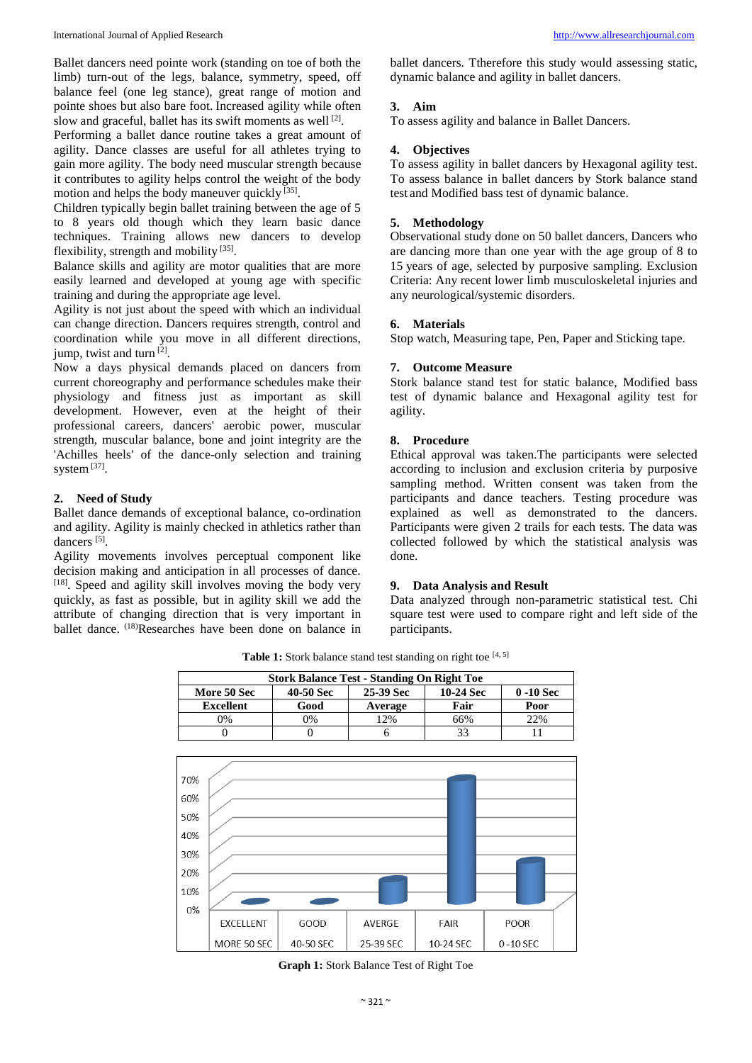Ballet dancers need pointe work (standing on toe of both the limb) turn-out of the legs, balance, symmetry, speed, off balance feel (one leg stance), great range of motion and pointe shoes but also bare foot. Increased agility while often slow and graceful, ballet has its swift moments as well<sup>[2]</sup>.

Performing a ballet dance routine takes a great amount of agility. Dance classes are useful for all athletes trying to gain more agility. The body need muscular strength because it contributes to agility helps control the weight of the body motion and helps the body maneuver quickly [35].

Children typically begin ballet training between the age of 5 to 8 years old though which they learn basic dance techniques. Training allows new dancers to develop flexibility, strength and mobility [35].

Balance skills and agility are motor qualities that are more easily learned and developed at young age with specific training and during the appropriate age level.

Agility is not just about the speed with which an individual can change direction. Dancers requires strength, control and coordination while you move in all different directions, jump, twist and turn<sup>[2]</sup>.

Now a days physical demands placed on dancers from current choreography and performance schedules make their physiology and fitness just as important as skill development. However, even at the height of their professional careers, dancers' aerobic power, muscular strength, muscular balance, bone and joint integrity are the 'Achilles heels' of the dance-only selection and training system<sup>[37]</sup>.

# **2. Need of Study**

Ballet dance demands of exceptional balance, co-ordination and agility. Agility is mainly checked in athletics rather than dancers<sup>[5]</sup>.

Agility movements involves perceptual component like decision making and anticipation in all processes of dance. [18]. Speed and agility skill involves moving the body very quickly, as fast as possible, but in agility skill we add the attribute of changing direction that is very important in ballet dance. <sup>(18)</sup>Researches have been done on balance in

ballet dancers. Ttherefore this study would assessing static, dynamic balance and agility in ballet dancers.

# **3. Aim**

To assess agility and balance in Ballet Dancers.

# **4. Objectives**

To assess agility in ballet dancers by Hexagonal agility test. To assess balance in ballet dancers by Stork balance stand test and Modified bass test of dynamic balance.

# **5. Methodology**

Observational study done on 50 ballet dancers, Dancers who are dancing more than one year with the age group of 8 to 15 years of age, selected by purposive sampling. Exclusion Criteria: Any recent lower limb musculoskeletal injuries and any neurological/systemic disorders.

#### **6. Materials**

Stop watch, Measuring tape, Pen, Paper and Sticking tape.

#### **7. Outcome Measure**

Stork balance stand test for static balance, Modified bass test of dynamic balance and Hexagonal agility test for agility.

# **8. Procedure**

Ethical approval was taken.The participants were selected according to inclusion and exclusion criteria by purposive sampling method. Written consent was taken from the participants and dance teachers. Testing procedure was explained as well as demonstrated to the dancers. Participants were given 2 trails for each tests. The data was collected followed by which the statistical analysis was done.

### **9. Data Analysis and Result**

Data analyzed through non-parametric statistical test. Chi square test were used to compare right and left side of the participants.



Table 1: Stork balance stand test standing on right toe [4, 5]

**Graph 1:** Stork Balance Test of Right Toe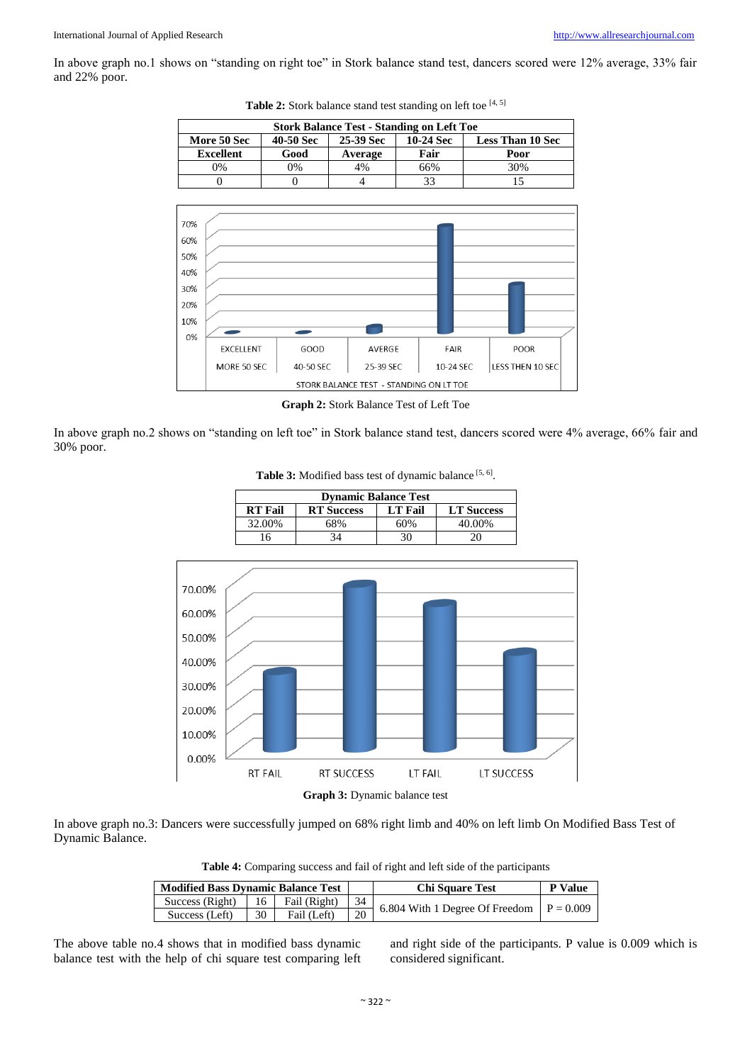In above graph no.1 shows on "standing on right toe" in Stork balance stand test, dancers scored were 12% average, 33% fair and 22% poor.

| Fair<br><b>Excellent</b><br>Good<br>Poor<br>Average<br>0%<br>4%<br>0%<br>66%<br>30%<br>33<br>15<br>$\theta$<br>$\overline{0}$<br>4<br>70%<br>60%<br>50%<br>40%<br>30%<br>20%<br>10%<br>0%<br><b>EXCELLENT</b><br>GOOD<br>AVERGE<br>FAIR<br><b>POOR</b> | More 50 Sec | 40-50 Sec | 25-39 Sec | 10-24 Sec | <b>Less Than 10 Sec</b> |  |
|--------------------------------------------------------------------------------------------------------------------------------------------------------------------------------------------------------------------------------------------------------|-------------|-----------|-----------|-----------|-------------------------|--|
|                                                                                                                                                                                                                                                        |             |           |           |           |                         |  |
|                                                                                                                                                                                                                                                        |             |           |           |           |                         |  |
|                                                                                                                                                                                                                                                        |             |           |           |           |                         |  |
|                                                                                                                                                                                                                                                        |             |           |           |           |                         |  |
|                                                                                                                                                                                                                                                        |             |           |           |           |                         |  |
| MORE 50 SEC<br>40-50 SEC<br>25-39 SEC<br>LESS THEN 10 SEC<br>10-24 SFC                                                                                                                                                                                 |             |           |           |           |                         |  |

Table 2: Stork balance stand test standing on left toe [4, 5]



In above graph no.2 shows on "standing on left toe" in Stork balance stand test, dancers scored were 4% average, 66% fair and 30% poor.



Table 3: Modified bass test of dynamic balance<sup>[5, 6]</sup>.

In above graph no.3: Dancers were successfully jumped on 68% right limb and 40% on left limb On Modified Bass Test of Dynamic Balance.

**Table 4:** Comparing success and fail of right and left side of the participants

| <b>Modified Bass Dynamic Balance Test</b> |    |              |    | <b>Chi Square Test</b>                     | <b>P</b> Value |
|-------------------------------------------|----|--------------|----|--------------------------------------------|----------------|
| Success (Right)                           | 16 | Fail (Right) | 34 | 6.804 With 1 Degree Of Freedom $P = 0.009$ |                |
| Success (Left)                            | 30 | Fail (Left)  | 20 |                                            |                |

The above table no.4 shows that in modified bass dynamic balance test with the help of chi square test comparing left

and right side of the participants. P value is 0.009 which is considered significant.

**Graph 3:** Dynamic balance test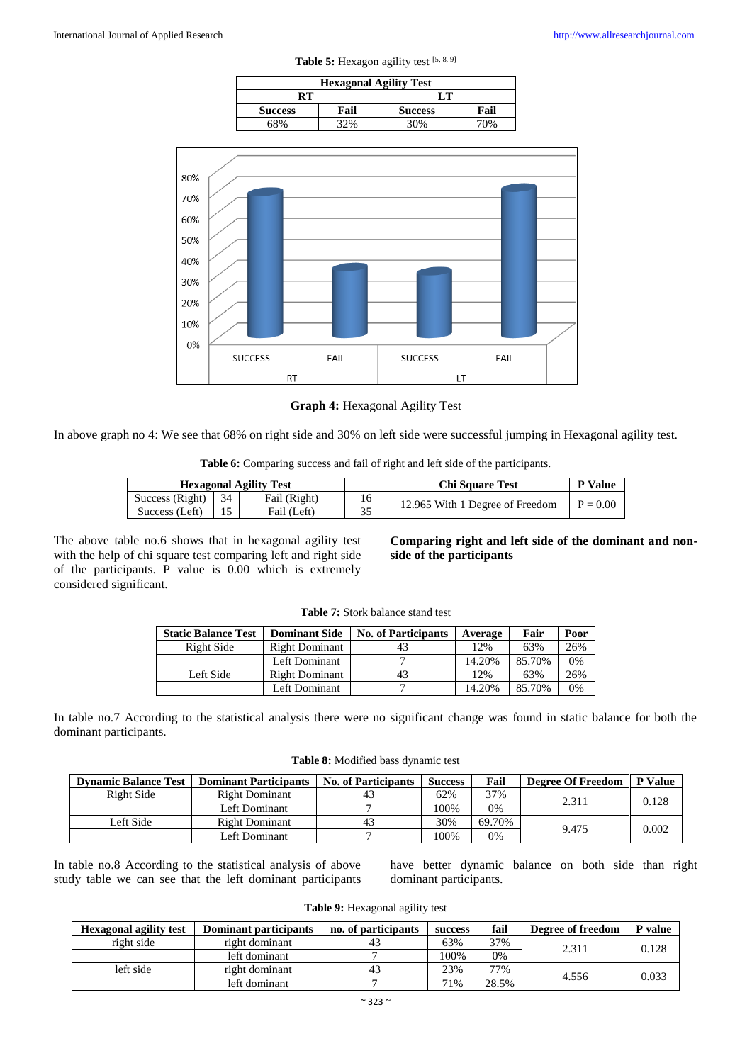| <b>Hexagonal Agility Test</b> |      |                |      |  |  |  |
|-------------------------------|------|----------------|------|--|--|--|
|                               |      |                |      |  |  |  |
| <b>Success</b>                | Fail | <b>Success</b> | Fail |  |  |  |
| 58%                           |      | 30%            | 0%   |  |  |  |

Table 5: Hexagon agility test [5, 8, 9]



**Graph 4:** Hexagonal Agility Test

In above graph no 4: We see that 68% on right side and 30% on left side were successful jumping in Hexagonal agility test.

**Table 6:** Comparing success and fail of right and left side of the participants.

| <b>Hexagonal Agility Test</b> |  |              |    | <b>Chi Square Test</b>          | <b>P</b> Value |
|-------------------------------|--|--------------|----|---------------------------------|----------------|
| Success (Right) $\vert$ 34    |  | Fail (Right) | 16 | 12.965 With 1 Degree of Freedom | $P = 0.00$     |
| Success (Left)                |  | Fail (Left)  |    |                                 |                |

The above table no.6 shows that in hexagonal agility test with the help of chi square test comparing left and right side of the participants. P value is 0.00 which is extremely considered significant.

**Comparing right and left side of the dominant and nonside of the participants**

| <b>Table 7:</b> Stork balance stand test |
|------------------------------------------|
|------------------------------------------|

| <b>Static Balance Test</b> | <b>Dominant Side</b>  | <b>No. of Participants</b> | Average | Fair   | Poor |
|----------------------------|-----------------------|----------------------------|---------|--------|------|
| Right Side                 | <b>Right Dominant</b> | 43                         | 12%     | 63%    | 26%  |
|                            | Left Dominant         |                            | 14.20%  | 85.70% | 0%   |
| Left Side                  | <b>Right Dominant</b> | 43                         | 12%     | 63%    | 26%  |
|                            | Left Dominant         |                            | 14.20%  | 85.70% | 0%   |

In table no.7 According to the statistical analysis there were no significant change was found in static balance for both the dominant participants.

| <b>Table 8:</b> Modified bass dynamic test |  |  |  |
|--------------------------------------------|--|--|--|
|--------------------------------------------|--|--|--|

| <b>Dynamic Balance Test</b> | <b>Dominant Participants</b> | <b>No. of Participants</b> | <b>Success</b> | Fail   | <b>Degree Of Freedom</b> | <b>P</b> Value |
|-----------------------------|------------------------------|----------------------------|----------------|--------|--------------------------|----------------|
| Right Side                  | <b>Right Dominant</b>        | 43                         | 62%            | 37%    | 2.311                    | 0.128          |
|                             | Left Dominant                |                            | 100%           | 0%     |                          |                |
| Left Side                   | <b>Right Dominant</b>        | 43                         | 30%            | 69.70% | 9.475                    | 0.002          |
|                             | Left Dominant                |                            | 100%           | 0%     |                          |                |

In table no.8 According to the statistical analysis of above study table we can see that the left dominant participants have better dynamic balance on both side than right dominant participants.

|  | <b>Table 9:</b> Hexagonal agility test |  |  |
|--|----------------------------------------|--|--|
|--|----------------------------------------|--|--|

| <b>Hexagonal agility test</b> | Dominant participants | no. of participants | success | fail  | Degree of freedom | P value |  |
|-------------------------------|-----------------------|---------------------|---------|-------|-------------------|---------|--|
| right side                    | right dominant        |                     | 63%     | 37%   | 2.311             | 0.128   |  |
|                               | left dominant         |                     | 100%    | 0%    |                   |         |  |
| left side                     | right dominant        | 4.                  | 23%     | 77%   | 4.556             | 0.033   |  |
|                               | left dominant         |                     | 71%     | 28.5% |                   |         |  |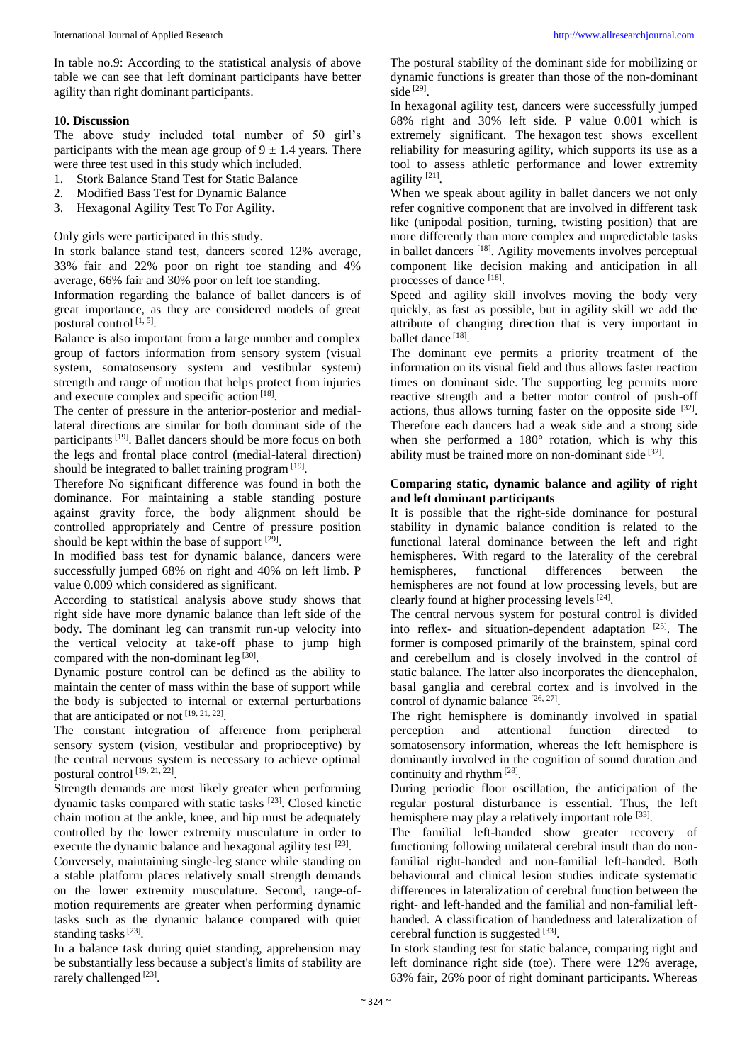In table no.9: According to the statistical analysis of above table we can see that left dominant participants have better agility than right dominant participants.

# **10. Discussion**

The above study included total number of 50 girl's participants with the mean age group of  $9 \pm 1.4$  years. There were three test used in this study which included.

- 1. Stork Balance Stand Test for Static Balance
- 2. Modified Bass Test for Dynamic Balance
- 3. Hexagonal Agility Test To For Agility.

Only girls were participated in this study.

In stork balance stand test, dancers scored 12% average, 33% fair and 22% poor on right toe standing and 4% average, 66% fair and 30% poor on left toe standing.

Information regarding the balance of ballet dancers is of great importance, as they are considered models of great postural control<sup>[1,5]</sup>.

Balance is also important from a large number and complex group of factors information from sensory system (visual system, somatosensory system and vestibular system) strength and range of motion that helps protect from injuries and execute complex and specific action [18].

The center of pressure in the anterior-posterior and mediallateral directions are similar for both dominant side of the participants<sup>[19]</sup>. Ballet dancers should be more focus on both the legs and frontal place control (medial-lateral direction) should be integrated to ballet training program<sup>[19]</sup>.

Therefore No significant difference was found in both the dominance. For maintaining a stable standing posture against gravity force, the body alignment should be controlled appropriately and Centre of pressure position should be kept within the base of support  $[29]$ .

In modified bass test for dynamic balance, dancers were successfully jumped 68% on right and 40% on left limb. P value 0.009 which considered as significant.

According to statistical analysis above study shows that right side have more dynamic balance than left side of the body. The dominant leg can transmit run-up velocity into the vertical velocity at take-off phase to jump high compared with the non-dominant leg<sup>[30]</sup>.

Dynamic posture control can be defined as the ability to maintain the center of mass within the base of support while the body is subjected to internal or external perturbations that are anticipated or not  $[19, 21, 22]$ .

The constant integration of afference from peripheral sensory system (vision, vestibular and proprioceptive) by the central nervous system is necessary to achieve optimal postural control [19, 21, 22] .

Strength demands are most likely greater when performing dynamic tasks compared with static tasks [23]. Closed kinetic chain motion at the ankle, knee, and hip must be adequately controlled by the lower extremity musculature in order to execute the dynamic balance and hexagonal agility test  $^{[23]}$ .

Conversely, maintaining single-leg stance while standing on a stable platform places relatively small strength demands on the lower extremity musculature. Second, range-ofmotion requirements are greater when performing dynamic tasks such as the dynamic balance compared with quiet standing tasks<sup>[23]</sup>.

In a balance task during quiet standing, apprehension may be substantially less because a subject's limits of stability are rarely challenged<sup>[23]</sup>.

The postural stability of the dominant side for mobilizing or dynamic functions is greater than those of the non-dominant side [29] .

In hexagonal agility test, dancers were successfully jumped 68% right and 30% left side. P value 0.001 which is extremely significant. The hexagon test shows excellent reliability for measuring agility, which supports its use as a tool to assess athletic performance and lower extremity agility<sup>[21]</sup>.

When we speak about agility in ballet dancers we not only refer cognitive component that are involved in different task like (unipodal position, turning, twisting position) that are more differently than more complex and unpredictable tasks in ballet dancers [18]. Agility movements involves perceptual component like decision making and anticipation in all processes of dance [18].

Speed and agility skill involves moving the body very quickly, as fast as possible, but in agility skill we add the attribute of changing direction that is very important in ballet dance [18].

The dominant eye permits a priority treatment of the information on its visual field and thus allows faster reaction times on dominant side. The supporting leg permits more reactive strength and a better motor control of push-off actions, thus allows turning faster on the opposite side [32]. Therefore each dancers had a weak side and a strong side when she performed a 180° rotation, which is why this ability must be trained more on non-dominant side [32].

#### **Comparing static, dynamic balance and agility of right and left dominant participants**

It is possible that the right-side dominance for postural stability in dynamic balance condition is related to the functional lateral dominance between the left and right hemispheres. With regard to the laterality of the cerebral hemispheres, functional differences between the hemispheres are not found at low processing levels, but are clearly found at higher processing levels [24].

The central nervous system for postural control is divided into reflex- and situation-dependent adaptation  $[25]$ . The former is composed primarily of the brainstem, spinal cord and cerebellum and is closely involved in the control of static balance. The latter also incorporates the diencephalon, basal ganglia and cerebral cortex and is involved in the control of dynamic balance [26, 27].

The right hemisphere is dominantly involved in spatial perception and attentional function directed to somatosensory information, whereas the left hemisphere is dominantly involved in the cognition of sound duration and continuity and rhythm<sup>[28]</sup>.

During periodic floor oscillation, the anticipation of the regular postural disturbance is essential. Thus, the left hemisphere may play a relatively important role [33].

The familial left-handed show greater recovery of functioning following unilateral cerebral insult than do nonfamilial right-handed and non-familial left-handed. Both behavioural and clinical lesion studies indicate systematic differences in lateralization of cerebral function between the right- and left-handed and the familial and non-familial lefthanded. A classification of handedness and lateralization of cerebral function is suggested [33].

In stork standing test for static balance, comparing right and left dominance right side (toe). There were 12% average, 63% fair, 26% poor of right dominant participants. Whereas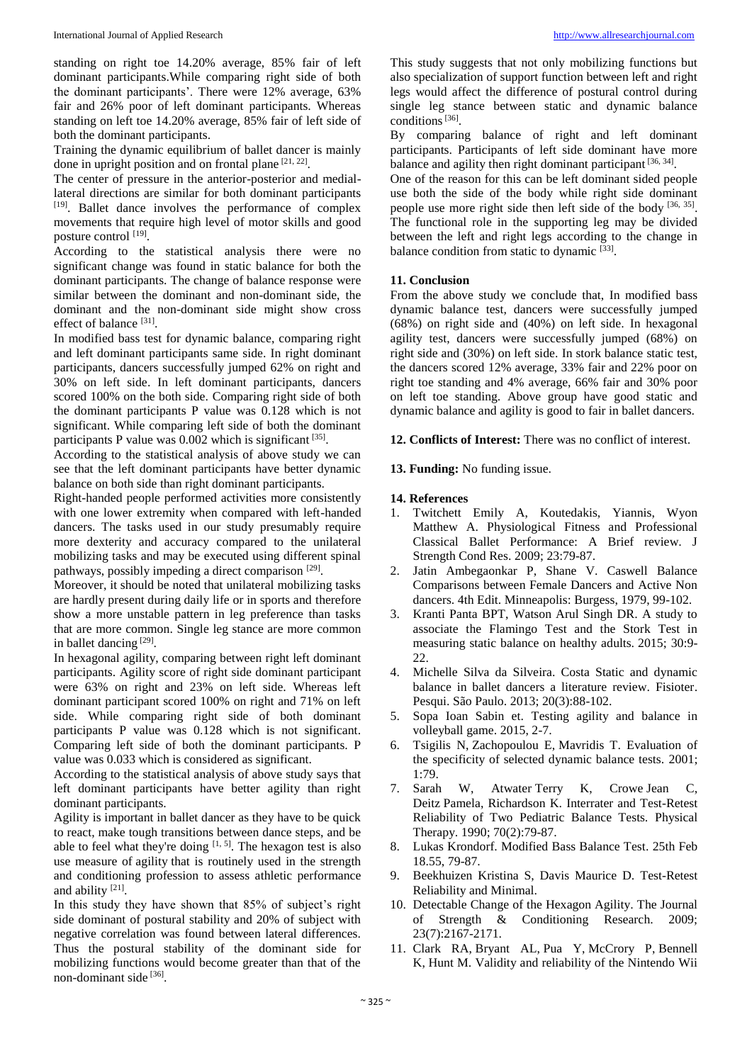standing on right toe 14.20% average, 85% fair of left dominant participants.While comparing right side of both the dominant participants'. There were 12% average, 63% fair and 26% poor of left dominant participants. Whereas standing on left toe 14.20% average, 85% fair of left side of both the dominant participants.

Training the dynamic equilibrium of ballet dancer is mainly done in upright position and on frontal plane  $[21, 22]$ .

The center of pressure in the anterior-posterior and mediallateral directions are similar for both dominant participants [19]. Ballet dance involves the performance of complex movements that require high level of motor skills and good posture control [19].

According to the statistical analysis there were no significant change was found in static balance for both the dominant participants. The change of balance response were similar between the dominant and non-dominant side, the dominant and the non-dominant side might show cross effect of balance<sup>[31]</sup>.

In modified bass test for dynamic balance, comparing right and left dominant participants same side. In right dominant participants, dancers successfully jumped 62% on right and 30% on left side. In left dominant participants, dancers scored 100% on the both side. Comparing right side of both the dominant participants P value was 0.128 which is not significant. While comparing left side of both the dominant participants P value was 0.002 which is significant [35].

According to the statistical analysis of above study we can see that the left dominant participants have better dynamic balance on both side than right dominant participants.

Right-handed people performed activities more consistently with one lower extremity when compared with left-handed dancers. The tasks used in our study presumably require more dexterity and accuracy compared to the unilateral mobilizing tasks and may be executed using different spinal pathways, possibly impeding a direct comparison [29].

Moreover, it should be noted that unilateral mobilizing tasks are hardly present during daily life or in sports and therefore show a more unstable pattern in leg preference than tasks that are more common. Single leg stance are more common in ballet dancing<sup>[29]</sup>.

In hexagonal agility, comparing between right left dominant participants. Agility score of right side dominant participant were 63% on right and 23% on left side. Whereas left dominant participant scored 100% on right and 71% on left side. While comparing right side of both dominant participants P value was 0.128 which is not significant. Comparing left side of both the dominant participants. P value was 0.033 which is considered as significant.

According to the statistical analysis of above study says that left dominant participants have better agility than right dominant participants.

Agility is important in ballet dancer as they have to be quick to react, make tough transitions between dance steps, and be able to feel what they're doing  $[1, 5]$ . The hexagon test is also use measure of agility that is routinely used in the strength and conditioning profession to assess athletic performance and ability<sup>[21]</sup>.

In this study they have shown that 85% of subject's right side dominant of postural stability and 20% of subject with negative correlation was found between lateral differences. Thus the postural stability of the dominant side for mobilizing functions would become greater than that of the non-dominant side [36].

This study suggests that not only mobilizing functions but also specialization of support function between left and right legs would affect the difference of postural control during single leg stance between static and dynamic balance conditions<sup>[36]</sup>.

By comparing balance of right and left dominant participants. Participants of left side dominant have more balance and agility then right dominant participant [36, 34].

One of the reason for this can be left dominant sided people use both the side of the body while right side dominant people use more right side then left side of the body [36, 35]. The functional role in the supporting leg may be divided between the left and right legs according to the change in balance condition from static to dynamic [33].

# **11. Conclusion**

From the above study we conclude that, In modified bass dynamic balance test, dancers were successfully jumped (68%) on right side and (40%) on left side. In hexagonal agility test, dancers were successfully jumped (68%) on right side and (30%) on left side. In stork balance static test, the dancers scored 12% average, 33% fair and 22% poor on right toe standing and 4% average, 66% fair and 30% poor on left toe standing. Above group have good static and dynamic balance and agility is good to fair in ballet dancers.

**12. Conflicts of Interest:** There was no conflict of interest.

**13. Funding:** No funding issue.

# **14. References**

- 1. Twitchett Emily A, Koutedakis, Yiannis, Wyon Matthew A. Physiological Fitness and Professional Classical Ballet Performance: A Brief review. J Strength Cond Res. 2009; 23:79-87.
- 2. Jatin Ambegaonkar P, Shane V. Caswell Balance Comparisons between Female Dancers and Active Non dancers. 4th Edit. Minneapolis: Burgess, 1979, 99-102.
- 3. Kranti Panta BPT, Watson Arul Singh DR. A study to associate the Flamingo Test and the Stork Test in measuring static balance on healthy adults. 2015; 30:9- 22.
- 4. Michelle Silva da Silveira. Costa Static and dynamic balance in ballet dancers a literature review. Fisioter. Pesqui. São Paulo. 2013; 20(3):88-102.
- 5. Sopa Ioan Sabin et. Testing agility and balance in volleyball game. 2015, 2-7.
- 6. Tsigilis N, Zachopoulou E, Mavridis T. Evaluation of the specificity of selected dynamic balance tests. 2001; 1:79.
- 7. Sarah W, Atwater Terry K, Crowe Jean C, Deitz Pamela, Richardson K. Interrater and Test-Retest Reliability of Two Pediatric Balance Tests. Physical Therapy. 1990; 70(2):79-87.
- 8. Lukas Krondorf. Modified Bass Balance Test. 25th Feb 18.55, 79-87.
- 9. Beekhuizen Kristina S, Davis Maurice D. Test-Retest Reliability and Minimal.
- 10. Detectable Change of the Hexagon Agility. The Journal of Strength & Conditioning Research. 2009; 23(7):2167-2171.
- 11. Clark RA, Bryant AL, Pua Y, McCrory P, Bennell K, Hunt M. Validity and reliability of the Nintendo Wii